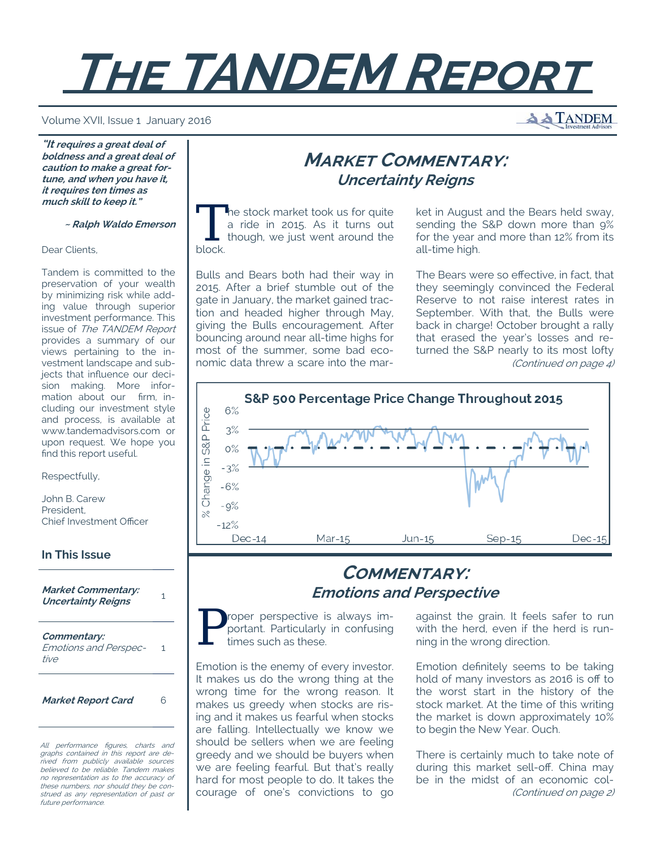# **THE TANDEM REPORT**

#### Volume XVII, Issue 1 January 2016

**A TANDEM** 

**"It requires a great deal of boldness and a great deal of caution to make a great fortune, and when you have it, it requires ten times as much skill to keep it."** 

 **~ Ralph Waldo Emerson**

#### Dear Clients,

Tandem is committed to the preservation of your wealth by minimizing risk while adding value through superior investment performance. This issue of The TANDEM Report provides a summary of our views pertaining to the investment landscape and subjects that influence our decision making. More information about our firm, including our investment style and process, is available at www.tandemadvisors.com or upon request. We hope you find this report useful.

Respectfully,

John B. Carew President, Chief Investment Officer

## **In This Issue**

**Market Commentary: Uncertainty Reigns** <sup>1</sup>

**Commentary:**  Emotions and Perspective

1

**Market Report Card** 6

All performance figures, charts and graphs contained in this report are derived from publicly available sources believed to be reliable. Tandem makes no representation as to the accuracy of these numbers, nor should they be construed as any representation of past or future performance.

# **MARKET COMMENTARY: Uncertainty Reigns**

The stock market took us for quite a ride in 2015. As it turns out though, we just went around the block.

Bulls and Bears both had their way in 2015. After a brief stumble out of the gate in January, the market gained traction and headed higher through May, giving the Bulls encouragement. After bouncing around near all-time highs for most of the summer, some bad economic data threw a scare into the market in August and the Bears held sway, sending the S&P down more than 9% for the year and more than 12% from its all-time high.

The Bears were so effective, in fact, that they seemingly convinced the Federal Reserve to not raise interest rates in September. With that, the Bulls were back in charge! October brought a rally that erased the year's losses and returned the S&P nearly to its most lofty (Continued on page 4)



# **COMMENTARY: Emotions and Perspective**

P roper perspective is always important. Particularly in confusing<br>times such as these. portant. Particularly in confusing times such as these.

Emotion is the enemy of every investor. It makes us do the wrong thing at the wrong time for the wrong reason. It makes us greedy when stocks are rising and it makes us fearful when stocks are falling. Intellectually we know we should be sellers when we are feeling greedy and we should be buyers when we are feeling fearful. But that's really hard for most people to do. It takes the courage of one's convictions to go against the grain. It feels safer to run with the herd, even if the herd is running in the wrong direction.

Emotion definitely seems to be taking hold of many investors as 2016 is off to the worst start in the history of the stock market. At the time of this writing the market is down approximately 10% to begin the New Year. Ouch.

There is certainly much to take note of during this market sell-off. China may be in the midst of an economic col- (Continued on page 2)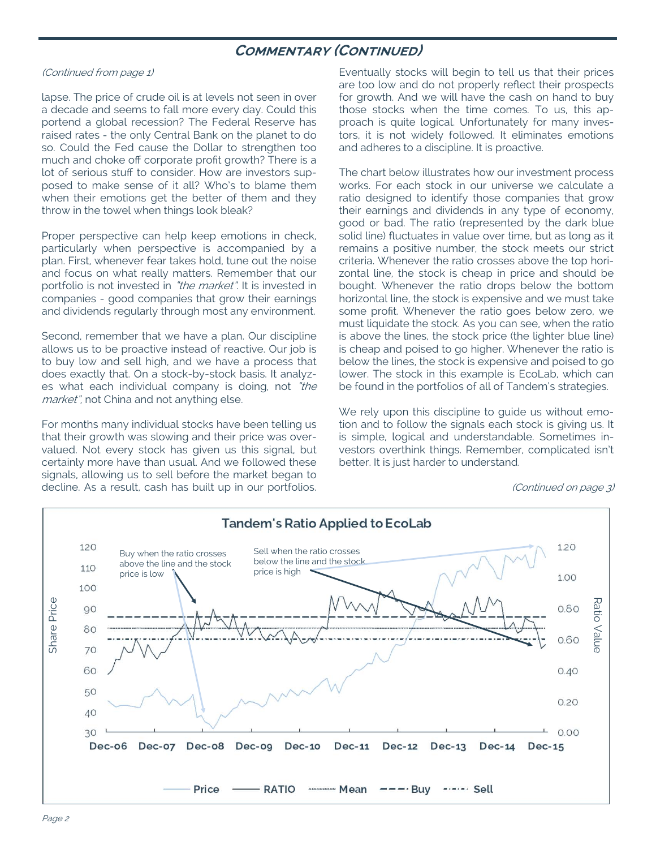## **COMMENTARY (CONTINUED)**

### (Continued from page 1)

lapse. The price of crude oil is at levels not seen in over a decade and seems to fall more every day. Could this portend a global recession? The Federal Reserve has raised rates - the only Central Bank on the planet to do so. Could the Fed cause the Dollar to strengthen too much and choke off corporate profit growth? There is a lot of serious stuff to consider. How are investors supposed to make sense of it all? Who's to blame them when their emotions get the better of them and they throw in the towel when things look bleak?

Proper perspective can help keep emotions in check, particularly when perspective is accompanied by a plan. First, whenever fear takes hold, tune out the noise and focus on what really matters. Remember that our portfolio is not invested in "the market". It is invested in companies - good companies that grow their earnings and dividends regularly through most any environment.

Second, remember that we have a plan. Our discipline allows us to be proactive instead of reactive. Our job is to buy low and sell high, and we have a process that does exactly that. On a stock-by-stock basis. It analyzes what each individual company is doing, not "the market", not China and not anything else.

For months many individual stocks have been telling us that their growth was slowing and their price was overvalued. Not every stock has given us this signal, but certainly more have than usual. And we followed these signals, allowing us to sell before the market began to decline. As a result, cash has built up in our portfolios. Eventually stocks will begin to tell us that their prices are too low and do not properly reflect their prospects for growth. And we will have the cash on hand to buy those stocks when the time comes. To us, this approach is quite logical. Unfortunately for many investors, it is not widely followed. It eliminates emotions and adheres to a discipline. It is proactive.

The chart below illustrates how our investment process works. For each stock in our universe we calculate a ratio designed to identify those companies that grow their earnings and dividends in any type of economy, good or bad. The ratio (represented by the dark blue solid line) fluctuates in value over time, but as long as it remains a positive number, the stock meets our strict criteria. Whenever the ratio crosses above the top horizontal line, the stock is cheap in price and should be bought. Whenever the ratio drops below the bottom horizontal line, the stock is expensive and we must take some profit. Whenever the ratio goes below zero, we must liquidate the stock. As you can see, when the ratio is above the lines, the stock price (the lighter blue line) is cheap and poised to go higher. Whenever the ratio is below the lines, the stock is expensive and poised to go lower. The stock in this example is EcoLab, which can be found in the portfolios of all of Tandem's strategies.

We rely upon this discipline to guide us without emotion and to follow the signals each stock is giving us. It is simple, logical and understandable. Sometimes investors overthink things. Remember, complicated isn't better. It is just harder to understand.

<sup>(</sup>Continued on page 3)

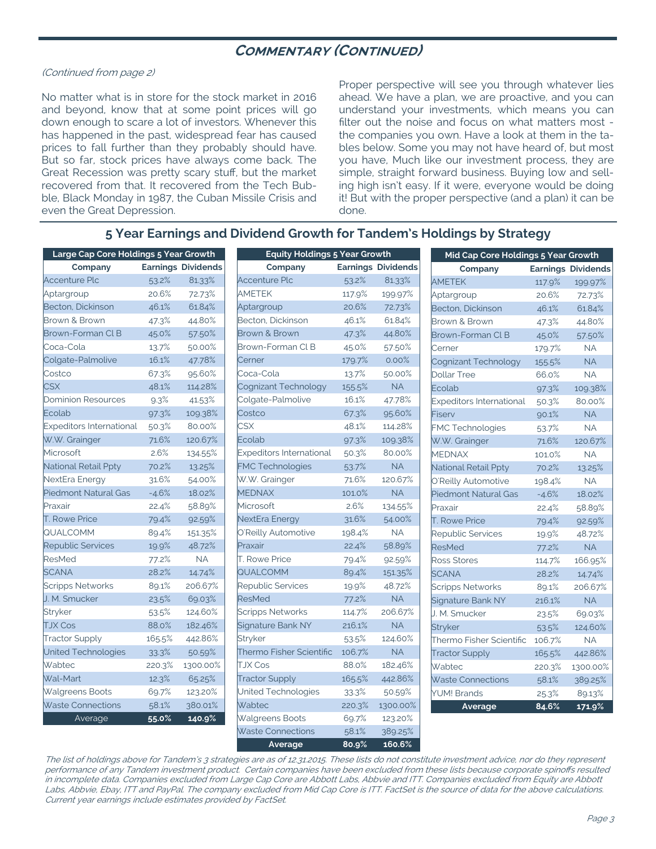## **COMMENTARY (CONTINUED)**

#### (Continued from page 2)

No matter what is in store for the stock market in 2016 and beyond, know that at some point prices will go down enough to scare a lot of investors. Whenever this has happened in the past, widespread fear has caused prices to fall further than they probably should have. But so far, stock prices have always come back. The Great Recession was pretty scary stuff, but the market recovered from that. It recovered from the Tech Bubble, Black Monday in 1987, the Cuban Missile Crisis and even the Great Depression.

Proper perspective will see you through whatever lies ahead. We have a plan, we are proactive, and you can understand your investments, which means you can filter out the noise and focus on what matters most the companies you own. Have a look at them in the tables below. Some you may not have heard of, but most you have, Much like our investment process, they are simple, straight forward business. Buying low and selling high isn't easy. If it were, everyone would be doing it! But with the proper perspective (and a plan) it can be done.

## **5 Year Earnings and Dividend Growth for Tandem's Holdings by Strategy**

| Large Cap Core Holdings 5 Year Growth |         |           | <b>Equity Holdings 5 Year Growth</b> |                           |           | Mid Cap Core Holdings 5 Year Growth |         |                           |  |
|---------------------------------------|---------|-----------|--------------------------------------|---------------------------|-----------|-------------------------------------|---------|---------------------------|--|
| <b>Earnings Dividends</b><br>Company  |         |           | Company                              | <b>Earnings Dividends</b> |           | Company                             |         | <b>Earnings Dividends</b> |  |
| <b>Accenture Plc</b>                  | 53.2%   | 81.33%    | <b>Accenture Plc</b>                 | 53.2%                     | 81.33%    | <b>AMETEK</b>                       | 117.9%  | 199.97%                   |  |
| Aptargroup                            | 20.6%   | 72.73%    | <b>AMETEK</b>                        | 117.9%                    | 199.97%   | Aptargroup                          | 20.6%   | 72.73%                    |  |
| Becton, Dickinson                     | 46.1%   | 61.84%    | Aptargroup                           | 20.6%                     | 72.73%    | Becton, Dickinson                   | 46.1%   | 61.84%                    |  |
| Brown & Brown                         | 47.3%   | 44.80%    | Becton, Dickinson                    | 46.1%                     | 61.84%    | Brown & Brown                       | 47.3%   | 44.80%                    |  |
| Brown-Forman Cl B                     | 45.0%   | 57.50%    | Brown & Brown                        | 47.3%                     | 44.80%    | Brown-Forman Cl B                   | 45.0%   | 57.50%                    |  |
| Coca-Cola                             | 13.7%   | 50.00%    | Brown-Forman Cl B                    | 45.0%                     | 57.50%    | Cerner                              | 179.7%  | <b>NA</b>                 |  |
| Colgate-Palmolive                     | 16.1%   | 47.78%    | Cerner                               | 179.7%                    | 0.00%     | Cognizant Technology                | 155.5%  | <b>NA</b>                 |  |
| Costco                                | 67.3%   | 95.60%    | Coca-Cola                            | 13.7%                     | 50.00%    | <b>Dollar Tree</b>                  | 66.0%   | <b>NA</b>                 |  |
| <b>CSX</b>                            | 48.1%   | 114.28%   | Cognizant Technology                 | 155.5%                    | $\sf NA$  | Ecolab                              | 97.3%   | 109.38%                   |  |
| <b>Dominion Resources</b>             | 9.3%    | 41.53%    | Colgate-Palmolive                    | 16.1%                     | 47.78%    | <b>Expeditors International</b>     | 50.3%   | 80.00%                    |  |
| Ecolab                                | 97.3%   | 109.38%   | Costco                               | 67.3%                     | 95.60%    | Fiserv                              | 90.1%   | NA                        |  |
| Expeditors International              | 50.3%   | 80.00%    | <b>CSX</b>                           | 48.1%                     | 114.28%   | FMC Technologies                    | 53.7%   | <b>NA</b>                 |  |
| W.W. Grainger                         | 71.6%   | 120.67%   | Ecolab                               | 97.3%                     | 109.38%   | W.W. Grainger                       | 71.6%   | 120.67%                   |  |
| Microsoft                             | 2.6%    | 134.55%   | <b>Expeditors International</b>      | 50.3%                     | 80.00%    | <b>MEDNAX</b>                       | 101.0%  | <b>NA</b>                 |  |
| National Retail Ppty                  | 70.2%   | 13.25%    | <b>FMC Technologies</b>              | 53.7%                     | <b>NA</b> | National Retail Ppty                | 70.2%   | 13.25%                    |  |
| NextEra Energy                        | 31.6%   | 54.00%    | W.W. Grainger                        | 71.6%                     | 120.67%   | O'Reilly Automotive                 | 198.4%  | <b>NA</b>                 |  |
| <b>Piedmont Natural Gas</b>           | $-4.6%$ | 18.02%    | <b>MEDNAX</b>                        | 101.0%                    | NA        | <b>Piedmont Natural Gas</b>         | $-4.6%$ | 18.02%                    |  |
| Praxair                               | 22.4%   | 58.89%    | Microsoft                            | 2.6%                      | 134.55%   | Praxair                             | 22.4%   | 58.89%                    |  |
| <b>T. Rowe Price</b>                  | 79.4%   | 92.59%    | NextEra Energy                       | 31.6%                     | 54.00%    | <b>T. Rowe Price</b>                | 79.4%   | 92.59%                    |  |
| QUALCOMM                              | 89.4%   | 151.35%   | O'Reilly Automotive                  | 198.4%                    | <b>NA</b> | Republic Services                   | 19.9%   | 48.72%                    |  |
| <b>Republic Services</b>              | 19.9%   | 48.72%    | Praxair                              | 22.4%                     | 58.89%    | ResMed                              | 77.2%   | <b>NA</b>                 |  |
| ResMed                                | 77.2%   | <b>NA</b> | T. Rowe Price                        | 79.4%                     | 92.59%    | Ross Stores                         | 114.7%  | 166.95%                   |  |
| <b>SCANA</b>                          | 28.2%   | 14.74%    | QUALCOMM                             | 89.4%                     | 151.35%   | <b>SCANA</b>                        | 28.2%   | 14.74%                    |  |
| <b>Scripps Networks</b>               | 89.1%   | 206.67%   | <b>Republic Services</b>             | 19.9%                     | 48.72%    | <b>Scripps Networks</b>             | 89.1%   | 206.67%                   |  |
| J. M. Smucker                         | 23.5%   | 69.03%    | <b>ResMed</b>                        | 77.2%                     | <b>NA</b> | Signature Bank NY                   | 216.1%  | <b>NA</b>                 |  |
| Stryker                               | 53.5%   | 124.60%   | <b>Scripps Networks</b>              | 114.7%                    | 206.67%   | J. M. Smucker                       | 23.5%   | 69.03%                    |  |
| <b>TJX Cos</b>                        | 88.0%   | 182.46%   | Signature Bank NY                    | 216.1%                    | <b>NA</b> | <b>Stryker</b>                      | 53.5%   | 124.60%                   |  |
| <b>Tractor Supply</b>                 | 165.5%  | 442.86%   | Stryker                              | 53.5%                     | 124.60%   | Thermo Fisher Scientific            | 106.7%  | $\sf NA$                  |  |
| United Technologies                   | 33.3%   | 50.59%    | Thermo Fisher Scientific             | 106.7%                    | <b>NA</b> | <b>Tractor Supply</b>               | 165.5%  | 442.86%                   |  |
| Wabtec                                | 220.3%  | 1300.00%  | <b>TJX Cos</b>                       | 88.0%                     | 182.46%   | Wabtec                              | 220.3%  | 1300.00%                  |  |
| Wal-Mart                              | 12.3%   | 65.25%    | <b>Tractor Supply</b>                | 165.5%                    | 442.86%   | <b>Waste Connections</b>            | 58.1%   | 389.25%                   |  |
| <b>Walgreens Boots</b>                | 69.7%   | 123.20%   | United Technologies                  | 33.3%                     | 50.59%    | <b>YUM! Brands</b>                  | 25.3%   | 89.13%                    |  |
| <b>Waste Connections</b>              | 58.1%   | 380.01%   | Wabtec                               | 220.3%                    | 1300.00%  | Average                             | 84.6%   | 171.9%                    |  |
| Average                               | 55.0%   | 140.9%    | <b>Walgreens Boots</b>               | 69.7%                     | 123.20%   |                                     |         |                           |  |
|                                       |         |           | <b>Waste Connections</b>             | 58.1%                     | 389.25%   |                                     |         |                           |  |

The list of holdings above for Tandem's 3 strategies are as of 12.31.2015. These lists do not constitute investment advice, nor do they represent performance of any Tandem investment product. Certain companies have been excluded from these lists because corporate spinoffs resulted in incomplete data. Companies excluded from Large Cap Core are Abbott Labs, Abbvie and ITT. Companies excluded from Equity are Abbott Labs, Abbvie, Ebay, ITT and PayPal. The company excluded from Mid Cap Core is ITT. FactSet is the source of data for the above calculations. Current year earnings include estimates provided by FactSet.

**Average 80.9% 160.6%**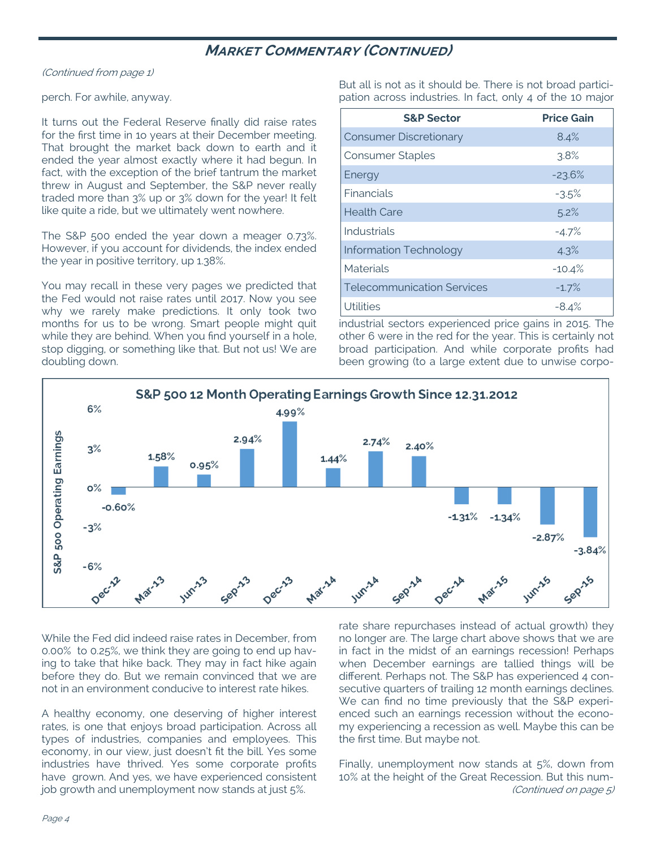## **MARKET COMMENTARY (CONTINUED)**

(Continued from page 1)

## perch. For awhile, anyway.

It turns out the Federal Reserve finally did raise rates for the first time in 1o years at their December meeting. That brought the market back down to earth and it ended the year almost exactly where it had begun. In fact, with the exception of the brief tantrum the market threw in August and September, the S&P never really traded more than 3% up or 3% down for the year! It felt like quite a ride, but we ultimately went nowhere.

The S&P 500 ended the year down a meager 0.73%. However, if you account for dividends, the index ended the year in positive territory, up 1.38%.

You may recall in these very pages we predicted that the Fed would not raise rates until 2017. Now you see why we rarely make predictions. It only took two months for us to be wrong. Smart people might quit while they are behind. When you find yourself in a hole, stop digging, or something like that. But not us! We are doubling down.

But all is not as it should be. There is not broad participation across industries. In fact, only 4 of the 10 major

| <b>S&amp;P Sector</b>             | <b>Price Gain</b> |
|-----------------------------------|-------------------|
| <b>Consumer Discretionary</b>     | 8.4%              |
| <b>Consumer Staples</b>           | 3.8%              |
| Energy                            | $-23.6%$          |
| Financials                        | $-3.5%$           |
| <b>Health Care</b>                | 5.2%              |
| Industrials                       | $-4.7%$           |
| <b>Information Technology</b>     | 4.3%              |
| <b>Materials</b>                  | $-10.4%$          |
| <b>Telecommunication Services</b> | $-1.7%$           |
| <b>Utilities</b>                  | $-8.4%$           |

industrial sectors experienced price gains in 2015. The other 6 were in the red for the year. This is certainly not broad participation. And while corporate profits had been growing (to a large extent due to unwise corpo-



While the Fed did indeed raise rates in December, from 0.00% to 0.25%, we think they are going to end up having to take that hike back. They may in fact hike again before they do. But we remain convinced that we are not in an environment conducive to interest rate hikes.

A healthy economy, one deserving of higher interest rates, is one that enjoys broad participation. Across all types of industries, companies and employees. This economy, in our view, just doesn't fit the bill. Yes some industries have thrived. Yes some corporate profits have grown. And yes, we have experienced consistent job growth and unemployment now stands at just 5%.

rate share repurchases instead of actual growth) they no longer are. The large chart above shows that we are in fact in the midst of an earnings recession! Perhaps when December earnings are tallied things will be different. Perhaps not. The S&P has experienced 4 consecutive quarters of trailing 12 month earnings declines. We can find no time previously that the S&P experienced such an earnings recession without the economy experiencing a recession as well. Maybe this can be the first time. But maybe not.

Finally, unemployment now stands at 5%, down from 10% at the height of the Great Recession. But this num- (Continued on page 5)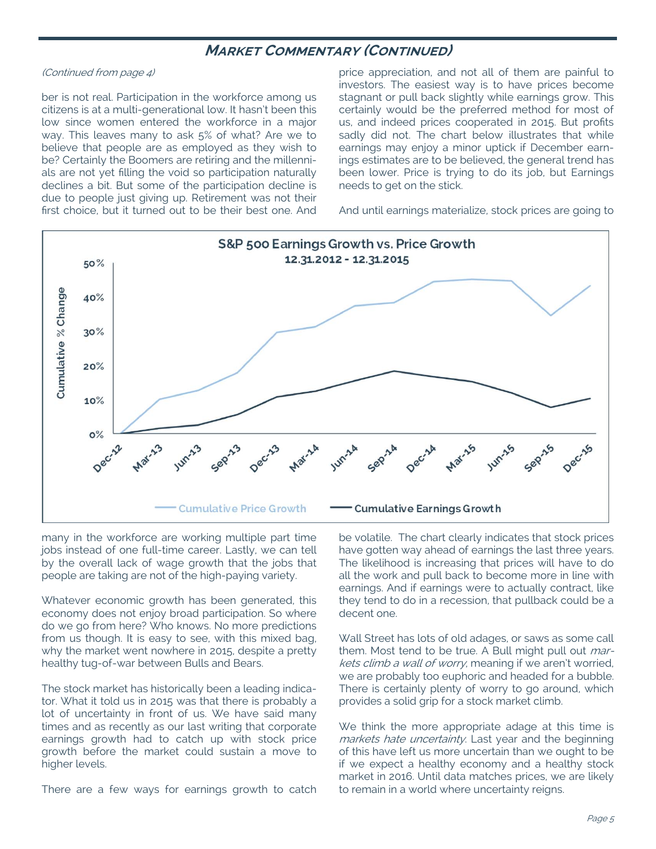## **MARKET COMMENTARY (CONTINUED)**

#### (Continued from page 4)

ber is not real. Participation in the workforce among us citizens is at a multi-generational low. It hasn't been this low since women entered the workforce in a major way. This leaves many to ask 5% of what? Are we to believe that people are as employed as they wish to be? Certainly the Boomers are retiring and the millennials are not yet filling the void so participation naturally declines a bit. But some of the participation decline is due to people just giving up. Retirement was not their first choice, but it turned out to be their best one. And price appreciation, and not all of them are painful to investors. The easiest way is to have prices become stagnant or pull back slightly while earnings grow. This certainly would be the preferred method for most of us, and indeed prices cooperated in 2015. But profits sadly did not. The chart below illustrates that while earnings may enjoy a minor uptick if December earnings estimates are to be believed, the general trend has been lower. Price is trying to do its job, but Earnings needs to get on the stick.

And until earnings materialize, stock prices are going to



many in the workforce are working multiple part time jobs instead of one full-time career. Lastly, we can tell by the overall lack of wage growth that the jobs that people are taking are not of the high-paying variety.

Whatever economic growth has been generated, this economy does not enjoy broad participation. So where do we go from here? Who knows. No more predictions from us though. It is easy to see, with this mixed bag, why the market went nowhere in 2015, despite a pretty healthy tug-of-war between Bulls and Bears.

The stock market has historically been a leading indicator. What it told us in 2015 was that there is probably a lot of uncertainty in front of us. We have said many times and as recently as our last writing that corporate earnings growth had to catch up with stock price growth before the market could sustain a move to higher levels.

There are a few ways for earnings growth to catch

be volatile. The chart clearly indicates that stock prices have gotten way ahead of earnings the last three years. The likelihood is increasing that prices will have to do all the work and pull back to become more in line with earnings. And if earnings were to actually contract, like they tend to do in a recession, that pullback could be a decent one.

Wall Street has lots of old adages, or saws as some call them. Most tend to be true. A Bull might pull out *mar*kets climb a wall of worry, meaning if we aren't worried, we are probably too euphoric and headed for a bubble. There is certainly plenty of worry to go around, which provides a solid grip for a stock market climb.

We think the more appropriate adage at this time is markets hate uncertainty. Last year and the beginning of this have left us more uncertain than we ought to be if we expect a healthy economy and a healthy stock market in 2016. Until data matches prices, we are likely to remain in a world where uncertainty reigns.